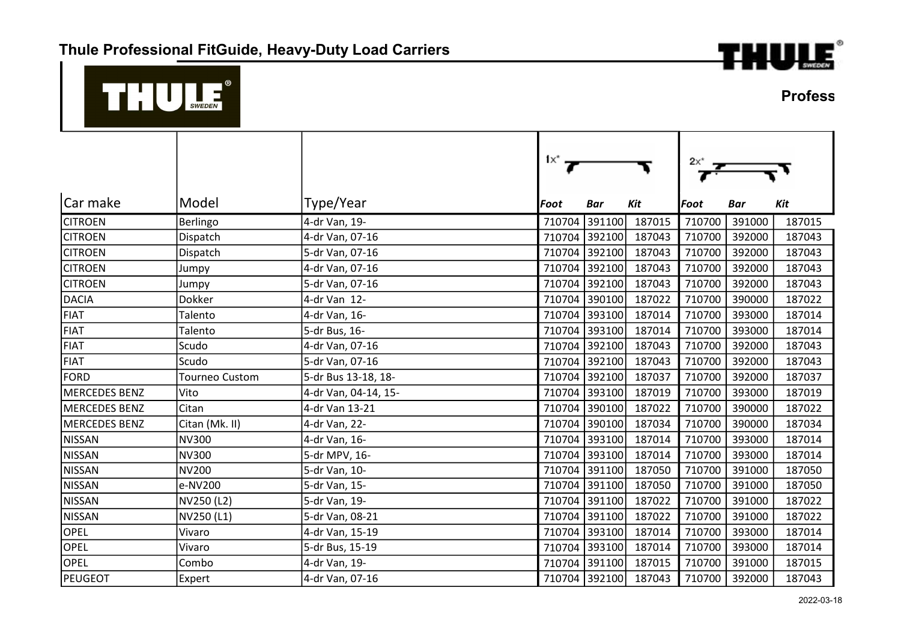

## $^{\circ}$  $\begin{array}{c}\n\phantom{\phantom{\mathcal{L}}}\n\end{array}$

**Profess** 

|                      |                       |                      | $1x^*$ $\rightarrow$ |            |        | $2x^*$ |            |        |
|----------------------|-----------------------|----------------------|----------------------|------------|--------|--------|------------|--------|
| Car make             | Model                 | Type/Year            | Foot                 | <b>Bar</b> | Kit    | Foot   | <b>Bar</b> | Kit    |
| <b>CITROEN</b>       | Berlingo              | 4-dr Van, 19-        | 710704               | 391100     | 187015 | 710700 | 391000     | 187015 |
| <b>CITROEN</b>       | Dispatch              | 4-dr Van, 07-16      | 710704               | 392100     | 187043 | 710700 | 392000     | 187043 |
| <b>CITROEN</b>       | Dispatch              | 5-dr Van, 07-16      | 710704               | 392100     | 187043 | 710700 | 392000     | 187043 |
| <b>CITROEN</b>       | Jumpy                 | 4-dr Van, 07-16      | 710704               | 392100     | 187043 | 710700 | 392000     | 187043 |
| <b>CITROEN</b>       | Jumpy                 | 5-dr Van, 07-16      | 710704               | 392100     | 187043 | 710700 | 392000     | 187043 |
| <b>DACIA</b>         | Dokker                | 4-dr Van 12-         | 710704               | 390100     | 187022 | 710700 | 390000     | 187022 |
| <b>FIAT</b>          | Talento               | 4-dr Van, 16-        | 710704               | 393100     | 187014 | 710700 | 393000     | 187014 |
| <b>FIAT</b>          | Talento               | 5-dr Bus, 16-        | 710704               | 393100     | 187014 | 710700 | 393000     | 187014 |
| <b>FIAT</b>          | Scudo                 | 4-dr Van, 07-16      | 710704               | 392100     | 187043 | 710700 | 392000     | 187043 |
| <b>FIAT</b>          | Scudo                 | 5-dr Van, 07-16      | 710704               | 392100     | 187043 | 710700 | 392000     | 187043 |
| <b>FORD</b>          | <b>Tourneo Custom</b> | 5-dr Bus 13-18, 18-  | 710704               | 392100     | 187037 | 710700 | 392000     | 187037 |
| <b>MERCEDES BENZ</b> | Vito                  | 4-dr Van, 04-14, 15- | 710704               | 393100     | 187019 | 710700 | 393000     | 187019 |
| <b>MERCEDES BENZ</b> | Citan                 | 4-dr Van 13-21       | 710704               | 390100     | 187022 | 710700 | 390000     | 187022 |
| <b>MERCEDES BENZ</b> | Citan (Mk. II)        | 4-dr Van, 22-        | 710704               | 390100     | 187034 | 710700 | 390000     | 187034 |
| <b>NISSAN</b>        | <b>NV300</b>          | 4-dr Van, 16-        | 710704               | 393100     | 187014 | 710700 | 393000     | 187014 |
| <b>NISSAN</b>        | <b>NV300</b>          | 5-dr MPV, 16-        | 710704               | 393100     | 187014 | 710700 | 393000     | 187014 |
| <b>NISSAN</b>        | <b>NV200</b>          | 5-dr Van, 10-        | 710704               | 391100     | 187050 | 710700 | 391000     | 187050 |
| <b>NISSAN</b>        | e-NV200               | 5-dr Van, 15-        | 710704               | 391100     | 187050 | 710700 | 391000     | 187050 |
| <b>NISSAN</b>        | NV250 (L2)            | 5-dr Van, 19-        | 710704               | 391100     | 187022 | 710700 | 391000     | 187022 |
| <b>NISSAN</b>        | NV250 (L1)            | 5-dr Van, 08-21      | 710704               | 391100     | 187022 | 710700 | 391000     | 187022 |
| OPEL                 | Vivaro                | 4-dr Van, 15-19      | 710704               | 393100     | 187014 | 710700 | 393000     | 187014 |
| OPEL                 | Vivaro                | 5-dr Bus, 15-19      | 710704               | 393100     | 187014 | 710700 | 393000     | 187014 |
| OPEL                 | Combo                 | 4-dr Van, 19-        | 710704               | 391100     | 187015 | 710700 | 391000     | 187015 |
| <b>PEUGEOT</b>       | Expert                | 4-dr Van, 07-16      | 710704               | 392100     | 187043 | 710700 | 392000     | 187043 |